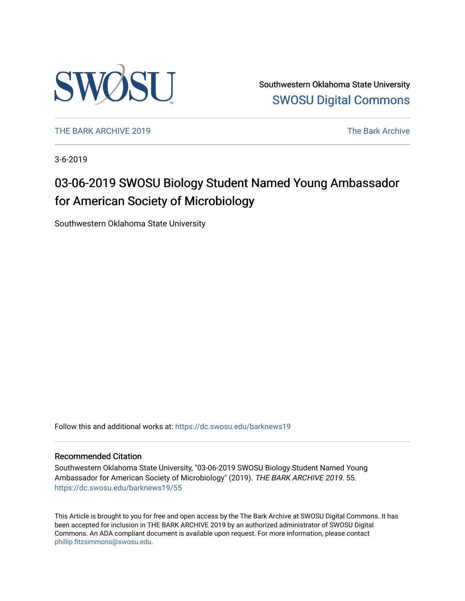

Southwestern Oklahoma State University [SWOSU Digital Commons](https://dc.swosu.edu/) 

[THE BARK ARCHIVE 2019](https://dc.swosu.edu/barknews19) The Bark Archive

3-6-2019

## 03-06-2019 SWOSU Biology Student Named Young Ambassador for American Society of Microbiology

Southwestern Oklahoma State University

Follow this and additional works at: [https://dc.swosu.edu/barknews19](https://dc.swosu.edu/barknews19?utm_source=dc.swosu.edu%2Fbarknews19%2F55&utm_medium=PDF&utm_campaign=PDFCoverPages)

#### Recommended Citation

Southwestern Oklahoma State University, "03-06-2019 SWOSU Biology Student Named Young Ambassador for American Society of Microbiology" (2019). THE BARK ARCHIVE 2019. 55. [https://dc.swosu.edu/barknews19/55](https://dc.swosu.edu/barknews19/55?utm_source=dc.swosu.edu%2Fbarknews19%2F55&utm_medium=PDF&utm_campaign=PDFCoverPages) 

This Article is brought to you for free and open access by the The Bark Archive at SWOSU Digital Commons. It has been accepted for inclusion in THE BARK ARCHIVE 2019 by an authorized administrator of SWOSU Digital Commons. An ADA compliant document is available upon request. For more information, please contact [phillip.fitzsimmons@swosu.edu](mailto:phillip.fitzsimmons@swosu.edu).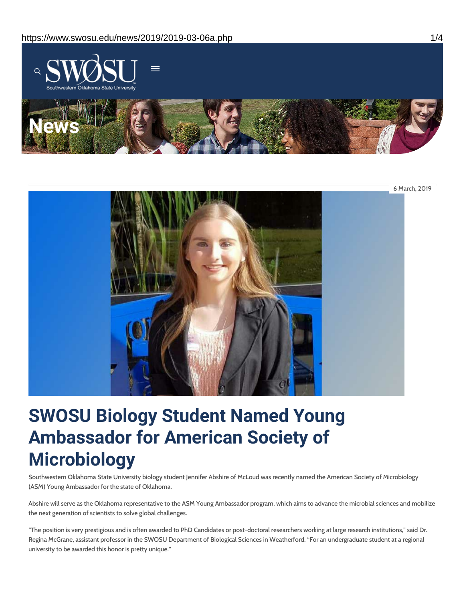



# **SWOSU Biology Student Named Young Ambassador for American Society of Microbiology**

Southwestern Oklahoma State University biology student Jennifer Abshire of McLoud was recently named the American Society of Microbiology (ASM) Young Ambassador for the state of Oklahoma.

Abshire will serve as the Oklahoma representative to the ASM Young Ambassador program, which aims to advance the microbial sciences and mobilize the next generation of scientists to solve global challenges.

"The position is very prestigious and is often awarded to PhD Candidates or post-doctoral researchers working at large research institutions," said Dr. Regina McGrane, assistant professor in the SWOSU Department of Biological Sciences in Weatherford. "For an undergraduate student at a regional university to be awarded this honor is pretty unique."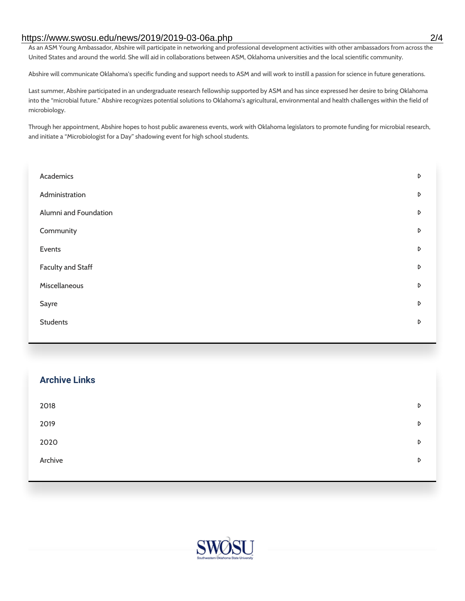#### https://www.swosu.edu/news/2019/2019-03-06a.php 2/4

As an ASM Young Ambassador, Abshire will participate in networking and professional development activities with other ambassadors from across the United States and around the world. She will aid in collaborations between ASM, Oklahoma universities and the local scientific community.

Abshire will communicate Oklahoma's specific funding and support needs to ASM and will work to instill a passion for science in future generations.

Last summer, Abshire participated in an undergraduate research fellowship supported by ASM and has since expressed her desire to bring Oklahoma into the "microbial future." Abshire recognizes potential solutions to Oklahoma's agricultural, environmental and health challenges within the field of microbiology.

Through her appointment, Abshire hopes to host public awareness events, work with Oklahoma legislators to promote funding for microbial research, and initiate a "Microbiologist for a Day" shadowing event for high school students.

| Academics             | D |
|-----------------------|---|
| Administration        | D |
| Alumni and Foundation | D |
| Community             | D |
| Events                | D |
| Faculty and Staff     | D |
| Miscellaneous         | D |
| Sayre                 | D |
| <b>Students</b>       | D |
|                       |   |

| <b>Archive Links</b> |   |
|----------------------|---|
| 2018                 | D |
| 2019                 | D |
| 2020                 | D |
| Archive              | D |
|                      |   |

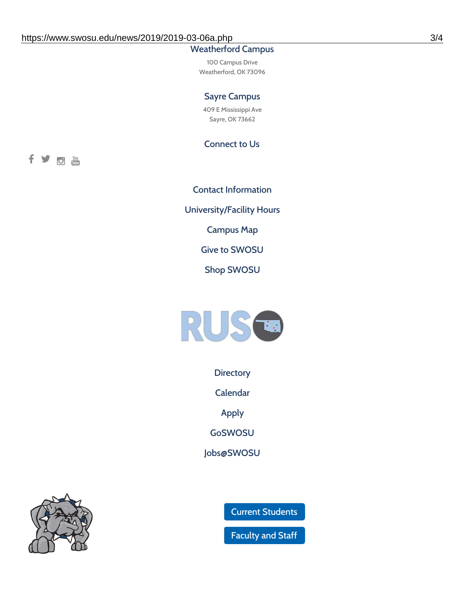### Weatherford Campus

100 Campus Drive Weatherford, OK 73096

#### Sayre Campus

409 E Mississippi Ave Sayre, OK 73662

Connect to Us

fyom

Contact [Information](https://www.swosu.edu/about/contact.php) [University/Facility](https://www.swosu.edu/about/operating-hours.php) Hours [Campus](https://map.concept3d.com/?id=768#!ct/10964,10214,10213,10212,10205,10204,10203,10202,10136,10129,10128,0,31226,10130,10201,10641,0) Map Give to [SWOSU](https://standingfirmly.com/donate) Shop [SWOSU](https://shopswosu.merchorders.com/)



**[Directory](https://www.swosu.edu/directory/index.php)** 

[Calendar](https://eventpublisher.dudesolutions.com/swosu/)

[Apply](https://www.swosu.edu/admissions/apply-to-swosu.php)

[GoSWOSU](https://qlsso.quicklaunchsso.com/home/1267)

[Jobs@SWOSU](https://swosu.csod.com/ux/ats/careersite/1/home?c=swosu)



Current [Students](https://bulldog.swosu.edu/index.php)

[Faculty](https://bulldog.swosu.edu/faculty-staff/index.php) and Staff